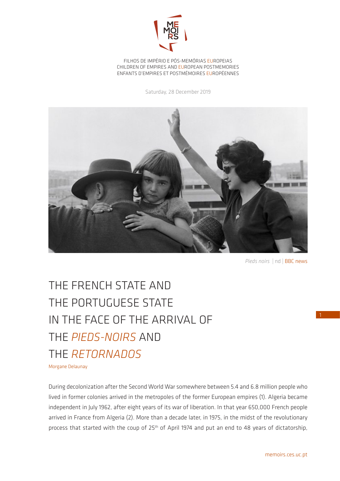

FILHOS DE IMPÉRIO E PÓS-MEMÓRIAS EUROPEIAS CHILDREN OF EMPIRES AND EUROPEAN POSTMEMORIES ENFANTS D'EMPIRES ET POSTMÉMOIRES EUROPÉENNES

Saturday, 28 December 2019



*Pieds noirs* | nd | BBC news

1

## THE FRENCH STATE AND THE PORTUGUESE STATE IN THE FACE OF THE ARRIVAL OF THE *PIEDS-NOIRS* AND THE *RETORNADOS*

Morgane Delaunay

During decolonization after the Second World War somewhere between 5.4 and 6.8 million people who lived in former colonies arrived in the metropoles of the former European empires (1). Algeria became independent in July 1962, after eight years of its war of liberation. In that year 650,000 French people arrived in France from Algeria (2). More than a decade later, in 1975, in the midst of the revolutionary process that started with the coup of 25<sup>th</sup> of April 1974 and put an end to 48 years of dictatorship,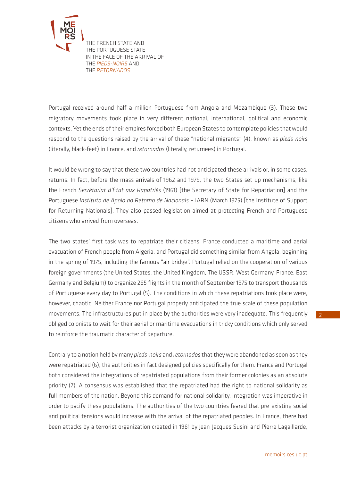

[T](http://memoirs.ces.uc.pt/index.php?id=22153&pag=22823&id_lingua=2)HE FRENCH STATE AND THE PORTUGUESE STATE IN THE FACE OF THE ARRIVAL OF THE *PIEDS-NOIRS* AND THE *RETORNADOS*

Portugal received around half a million Portuguese from Angola and Mozambique (3). These two migratory movements took place in very different national, international, political and economic contexts. Yet the ends of their empires forced both European States to contemplate policies that would respond to the questions raised by the arrival of these "national migrants" (4), known as *pieds-noirs* (literally, black-feet) in France, and *retornados* (literally, returnees) in Portugal.

It would be wrong to say that these two countries had not anticipated these arrivals or, in some cases, returns. In fact, before the mass arrivals of 1962 and 1975, the two States set up mechanisms, like the French *Secrétariat d'État aux Rapatriés* (1961) [the Secretary of State for Repatriation] and the Portuguese *Instituto de Apoio ao Retorno de Nacionais* – IARN (March 1975) [the Institute of Support for Returning Nationals]. They also passed legislation aimed at protecting French and Portuguese citizens who arrived from overseas.

The two states' first task was to repatriate their citizens. France conducted a maritime and aerial evacuation of French people from Algeria, and Portugal did something similar from Angola, beginning in the spring of 1975, including the famous "air bridge". Portugal relied on the cooperation of various foreign governments (the United States, the United Kingdom, The USSR, West Germany, France, East Germany and Belgium) to organize 265 flights in the month of September 1975 to transport thousands of Portuguese every day to Portugal (5). The conditions in which these repatriations took place were, however, chaotic. Neither France nor Portugal properly anticipated the true scale of these population movements. The infrastructures put in place by the authorities were very inadequate. This frequently obliged colonists to wait for their aerial or maritime evacuations in tricky conditions which only served to reinforce the traumatic character of departure.

Contrary to a notion held by many *pieds-noirs* and *retornados* that they were abandoned as soon as they were repatriated (6), the authorities in fact designed policies specifically for them. France and Portugal both considered the integrations of repatriated populations from their former colonies as an absolute priority (7). A consensus was established that the repatriated had the right to national solidarity as full members of the nation. Beyond this demand for national solidarity, integration was imperative in order to pacify these populations. The authorities of the two countries feared that pre-existing social and political tensions would increase with the arrival of the repatriated peoples. In France, there had been attacks by a terrorist organization created in 1961 by Jean-Jacques Susini and Pierre Lagaillarde,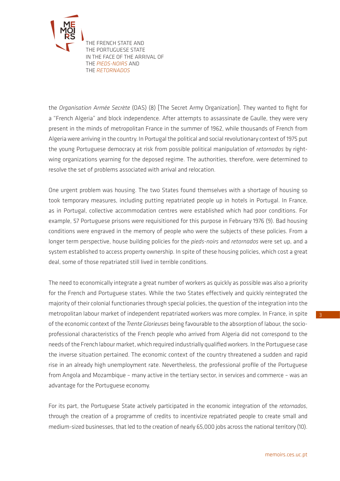

[T](http://memoirs.ces.uc.pt/index.php?id=22153&pag=22823&id_lingua=2)HE FRENCH STATE AND THE PORTUGUESE STATE IN THE FACE OF THE ARRIVAL OF THE *PIEDS-NOIRS* AND THE *RETORNADOS*

the *Organisation Armée Secrète* (OAS) (8) [The Secret Army Organization]. They wanted to fight for a "French Algeria" and block independence. After attempts to assassinate de Gaulle, they were very present in the minds of metropolitan France in the summer of 1962, while thousands of French from Algeria were arriving in the country. In Portugal the political and social revolutionary context of 1975 put the young Portuguese democracy at risk from possible political manipulation of *retornados* by rightwing organizations yearning for the deposed regime. The authorities, therefore, were determined to resolve the set of problems associated with arrival and relocation.

One urgent problem was housing. The two States found themselves with a shortage of housing so took temporary measures, including putting repatriated people up in hotels in Portugal. In France, as in Portugal, collective accommodation centres were established which had poor conditions. For example, 57 Portuguese prisons were requisitioned for this purpose in February 1976 (9). Bad housing conditions were engraved in the memory of people who were the subjects of these policies. From a longer term perspective, house building policies for the *pieds-noirs* and *retornados* were set up, and a system established to access property ownership. In spite of these housing policies, which cost a great deal, some of those repatriated still lived in terrible conditions.

The need to economically integrate a great number of workers as quickly as possible was also a priority for the French and Portuguese states. While the two States effectively and quickly reintegrated the majority of their colonial functionaries through special policies, the question of the integration into the metropolitan labour market of independent repatriated workers was more complex. In France, in spite of the economic context of the *Trente Glorieuses* being favourable to the absorption of labour, the socioprofessional characteristics of the French people who arrived from Algeria did not correspond to the needs of the French labour market, which required industrially qualified workers. In the Portuguese case the inverse situation pertained. The economic context of the country threatened a sudden and rapid rise in an already high unemployment rate. Nevertheless, the professional profile of the Portuguese from Angola and Mozambique – many active in the tertiary sector, in services and commerce – was an advantage for the Portuguese economy.

For its part, the Portuguese State actively participated in the economic integration of the *retornados*, through the creation of a programme of credits to incentivize repatriated people to create small and medium-sized businesses, that led to the creation of nearly 65,000 jobs across the national territory (10).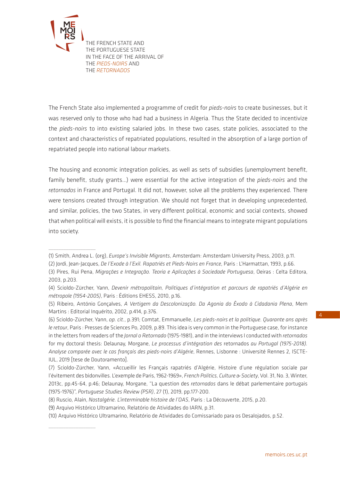

 $\overline{\phantom{a}}$  , where  $\overline{\phantom{a}}$ 

 $\overline{\phantom{a}}$  , where  $\overline{\phantom{a}}$ 

[T](http://memoirs.ces.uc.pt/index.php?id=22153&pag=22823&id_lingua=2)HE FRENCH STATE AND THE PORTUGUESE STATE IN THE FACE OF THE ARRIVAL OF THE *PIEDS-NOIRS* AND THE *RETORNADOS*

The French State also implemented a programme of credit for *pieds-noirs* to create businesses, but it was reserved only to those who had had a business in Algeria. Thus the State decided to incentivize the *pieds-noirs* to into existing salaried jobs. In these two cases, state policies, associated to the context and characteristics of repatriated populations, resulted in the absorption of a large portion of repatriated people into national labour markets.

The housing and economic integration policies, as well as sets of subsidies (unemployment benefit, family benefit, study grants…) were essential for the active integration of the *pieds-noirs* and the *retornados* in France and Portugal. It did not, however, solve all the problems they experienced. There were tensions created through integration. We should not forget that in developing unprecedented, and similar, policies, the two States, in very different political, economic and social contexts, showed that when political will exists, it is possible to find the financial means to integrate migrant populations into society.

<sup>(1)</sup> Smith, Andrea L. (org), *Europe's Invisible Migrants*, Amsterdam: Amsterdam University Press, 2003, p.11.

<sup>(2)</sup> Jordi, Jean-Jacques, *De l'Exode à l'Exil. Rapatriés et Pieds-Noirs en France*, Paris : L'Harmattan, 1993, p.66.

<sup>(3)</sup> Pires, Rui Pena, *Migrações e Integração. Teoria e Aplicações à Sociedade Portuguesa*, Oeiras : Celta Editora, 2003, p.203.

<sup>(4)</sup> Scioldo-Zürcher, Yann, *Devenir métropolitain, Politiques d'intégration et parcours de rapatriés d'Algérie en métropole (1954-2005)*, Paris : Éditions EHESS, 2010, p.16.

<sup>(5)</sup> Ribeiro, António Gonçalves, *A Vertigem da Descolonização. Da Agonia do Êxodo à Cidadania Plena*, Mem Martins : Editorial Inquérito, 2002, p.414, p.376.

<sup>(6)</sup> Scioldo-Zürcher, Yann, *op. cit.*, p.391; Comtat, Emmanuelle, *Les pieds-noirs et la politique. Quarante ans après le retour*, Paris : Presses de Sciences Po, 2009, p.89. This idea is very common in the Portuguese case, for instance in the letters from readers of the *Jornal o Retornado* (1975-1981), and in the interviews I conducted with *retornados* for my doctoral thesis: Delaunay, Morgane, *Le processus d'intégration des* retornados *au Portugal (1975-2018). Analyse comparée avec le cas français des pieds-noirs d'Algérie*, Rennes, Lisbonne : Université Rennes 2, ISCTE-IUL, 2019 [tese de Doutoramento].

<sup>(7)</sup> Scioldo-Zürcher, Yann, «Accueillir les Français rapatriés d'Algérie, Histoire d'une régulation sociale par l'évitement des bidonvilles. L'exemple de Paris, 1962-1969», *French Politics, Culture & Society*, Vol. 31, No. 3, Winter, 2013c, pp.45-64, p.46; Delaunay, Morgane, "La question des *retornados* dans le débat parlementaire portugais (1975-1976)", *Portuguese Studies Review (PSR)*, 27 (1), 2019, pp.177-200.

<sup>(8)</sup> Ruscio, Alain, *Nostalgérie. L'interminable histoire de l'OAS*, Paris : La Découverte, 2015, p.20.

<sup>(9)</sup> Arquivo Histórico Ultramarino, Relatório de Atividades do IARN, p.31.

<sup>(10)</sup> Arquivo Histórico Ultramarino, Relatório de Atividades do Comissariado para os Desalojados, p.52.